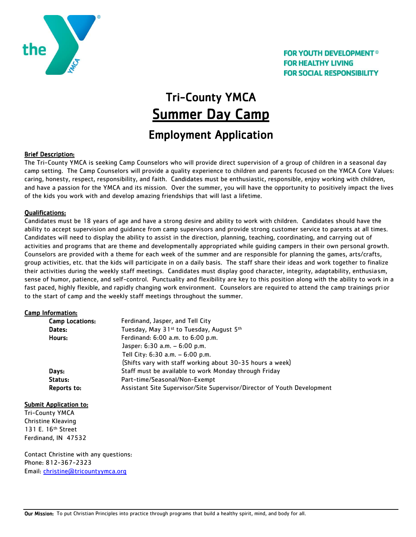

### **FOR YOUTH DEVELOPMENT<sup>®</sup> FOR HEALTHY LIVING FOR SOCIAL RESPONSIBILITY**

# Tri-County YMCA Summer Day Camp

# Employment Application

#### Brief Description:

The Tri-County YMCA is seeking Camp Counselors who will provide direct supervision of a group of children in a seasonal day camp setting. The Camp Counselors will provide a quality experience to children and parents focused on the YMCA Core Values: caring, honesty, respect, responsibility, and faith. Candidates must be enthusiastic, responsible, enjoy working with children, and have a passion for the YMCA and its mission. Over the summer, you will have the opportunity to positively impact the lives of the kids you work with and develop amazing friendships that will last a lifetime.

#### Qualifications:

Candidates must be 18 years of age and have a strong desire and ability to work with children. Candidates should have the ability to accept supervision and guidance from camp supervisors and provide strong customer service to parents at all times. Candidates will need to display the ability to assist in the direction, planning, teaching, coordinating, and carrying out of activities and programs that are theme and developmentally appropriated while guiding campers in their own personal growth. Counselors are provided with a theme for each week of the summer and are responsible for planning the games, arts/crafts, group activities, etc. that the kids will participate in on a daily basis. The staff share their ideas and work together to finalize their activities during the weekly staff meetings. Candidates must display good character, integrity, adaptability, enthusiasm, sense of humor, patience, and self-control. Punctuality and flexibility are key to this position along with the ability to work in a fast paced, highly flexible, and rapidly changing work environment. Counselors are required to attend the camp trainings prior to the start of camp and the weekly staff meetings throughout the summer.

#### Camp Information:

| <b>Camp Locations:</b> | Ferdinand, Jasper, and Tell City                                        |
|------------------------|-------------------------------------------------------------------------|
| Dates:                 | Tuesday, May 31 <sup>st</sup> to Tuesday, August 5 <sup>th</sup>        |
| Hours:                 | Ferdinand: 6:00 a.m. to 6:00 p.m.                                       |
|                        | Jasper: $6:30$ a.m. $-6:00$ p.m.                                        |
|                        | Tell City: $6:30$ a.m. $-6:00$ p.m.                                     |
|                        | (Shifts vary with staff working about 30-35 hours a week)               |
| Days:                  | Staff must be available to work Monday through Friday                   |
| Status:                | Part-time/Seasonal/Non-Exempt                                           |
| Reports to:            | Assistant Site Supervisor/Site Supervisor/Director of Youth Development |

#### Submit Application to:

Tri-County YMCA Christine Kleaving 131 E. 16th Street Ferdinand, IN 47532

Contact Christine with any questions: Phone: 812-367-2323 Email: [christine@tricountyymca.org](mailto:christine@tricountyymca.org)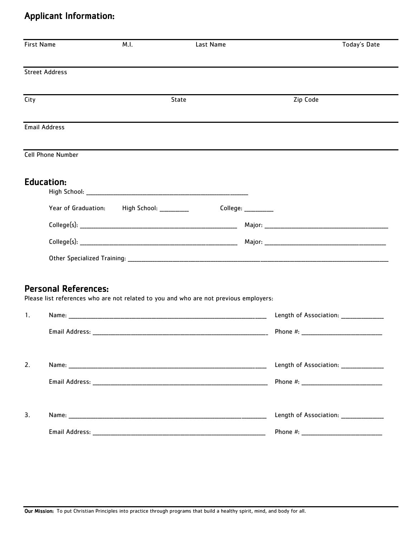# Applicant Information:

| <b>Street Address</b><br>State<br>Zip Code<br>City<br><b>Email Address</b><br><b>Cell Phone Number</b><br><b>Education:</b><br>Year of Graduation: High School: _________<br>$Collect: ____________$<br><b>Personal References:</b><br>Please list references who are not related to you and who are not previous employers:<br>Name: The contract of the contract of the contract of the contract of the contract of the contract of the contract of the contract of the contract of the contract of the contract of the contract of the contract of the cont<br>$\mathbf{1}$ .<br>2.<br>3. | <b>First Name</b> | M.I. | Last Name | Today's Date                           |
|----------------------------------------------------------------------------------------------------------------------------------------------------------------------------------------------------------------------------------------------------------------------------------------------------------------------------------------------------------------------------------------------------------------------------------------------------------------------------------------------------------------------------------------------------------------------------------------------|-------------------|------|-----------|----------------------------------------|
|                                                                                                                                                                                                                                                                                                                                                                                                                                                                                                                                                                                              |                   |      |           |                                        |
|                                                                                                                                                                                                                                                                                                                                                                                                                                                                                                                                                                                              |                   |      |           |                                        |
|                                                                                                                                                                                                                                                                                                                                                                                                                                                                                                                                                                                              |                   |      |           |                                        |
|                                                                                                                                                                                                                                                                                                                                                                                                                                                                                                                                                                                              |                   |      |           |                                        |
|                                                                                                                                                                                                                                                                                                                                                                                                                                                                                                                                                                                              |                   |      |           |                                        |
|                                                                                                                                                                                                                                                                                                                                                                                                                                                                                                                                                                                              |                   |      |           |                                        |
|                                                                                                                                                                                                                                                                                                                                                                                                                                                                                                                                                                                              |                   |      |           |                                        |
|                                                                                                                                                                                                                                                                                                                                                                                                                                                                                                                                                                                              |                   |      |           |                                        |
|                                                                                                                                                                                                                                                                                                                                                                                                                                                                                                                                                                                              |                   |      |           |                                        |
|                                                                                                                                                                                                                                                                                                                                                                                                                                                                                                                                                                                              |                   |      |           | Length of Association: ______________  |
|                                                                                                                                                                                                                                                                                                                                                                                                                                                                                                                                                                                              |                   |      |           |                                        |
|                                                                                                                                                                                                                                                                                                                                                                                                                                                                                                                                                                                              |                   |      |           | Length of Association: _______________ |
|                                                                                                                                                                                                                                                                                                                                                                                                                                                                                                                                                                                              |                   |      |           |                                        |
|                                                                                                                                                                                                                                                                                                                                                                                                                                                                                                                                                                                              |                   |      |           | Length of Association: _______________ |
|                                                                                                                                                                                                                                                                                                                                                                                                                                                                                                                                                                                              |                   |      |           |                                        |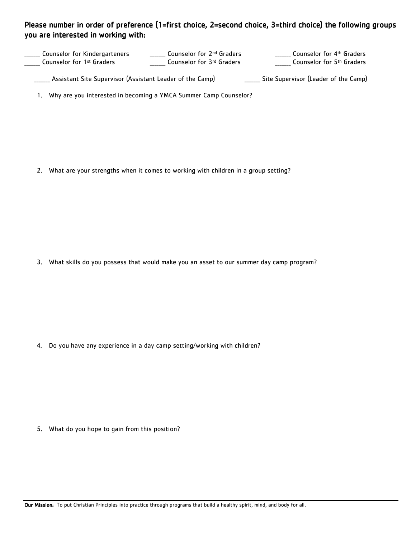### Please number in order of preference (1=first choice, 2=second choice, 3=third choice) the following groups you are interested in working with:

\_\_\_\_\_\_\_ Counselor for Kindergarteners **\_\_\_\_\_\_** Counselor for 1st Graders **Counselor for 2<sup>nd</sup> Graders** \_\_\_\_\_\_\_ Counselor for 3rd Graders \_\_\_\_\_\_\_ Counselor for 5th Graders **\_\_\_\_\_\_** Counselor for 4<sup>th</sup> Graders

\_\_\_\_\_\_\_ Assistant Site Supervisor (Assistant Leader of the Camp) \_\_\_\_\_\_\_ Site Supervisor (Leader of the Camp)

1. Why are you interested in becoming a YMCA Summer Camp Counselor?

2. What are your strengths when it comes to working with children in a group setting?

3. What skills do you possess that would make you an asset to our summer day camp program?

4. Do you have any experience in a day camp setting/working with children?

5. What do you hope to gain from this position?